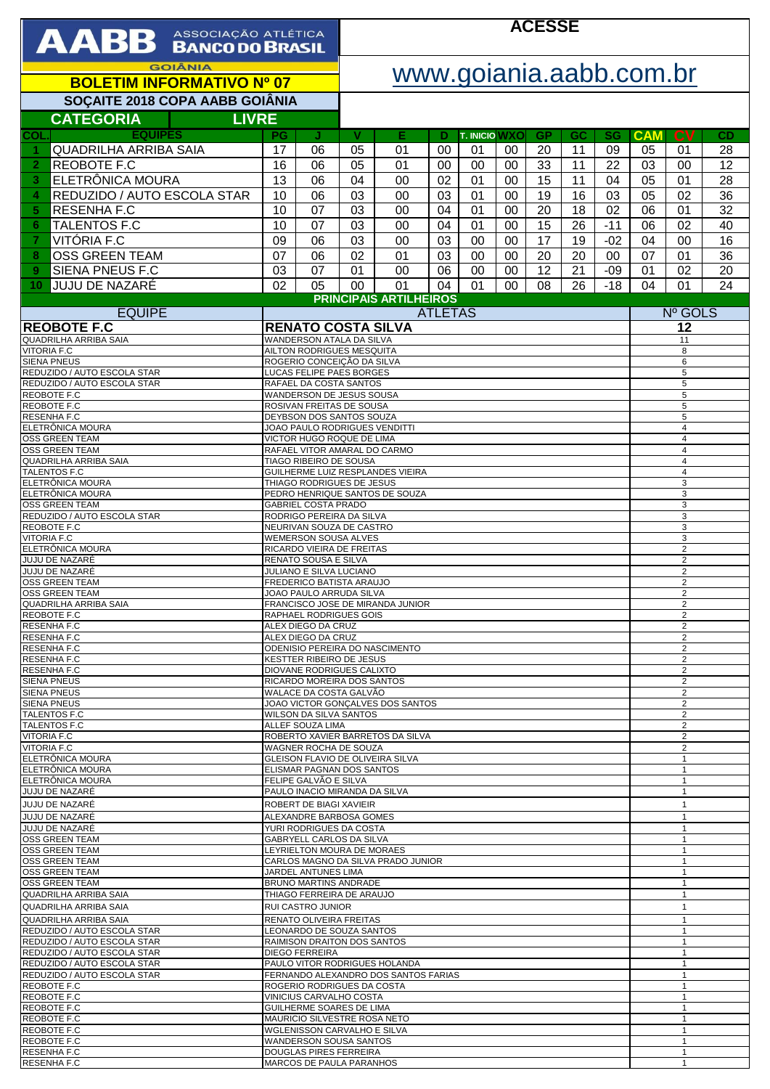| AABB ASSOCIAÇÃO ATLÉTICA                                                                                              |                                                               |                                                              | <b>ACESSE</b>                                                     |                               |                |                            |          |                 |          |                              |                                           |                                  |          |  |
|-----------------------------------------------------------------------------------------------------------------------|---------------------------------------------------------------|--------------------------------------------------------------|-------------------------------------------------------------------|-------------------------------|----------------|----------------------------|----------|-----------------|----------|------------------------------|-------------------------------------------|----------------------------------|----------|--|
| <b>GOIÂNIA</b><br><b>BOLETIM INFORMATIVO Nº 07</b>                                                                    |                                                               |                                                              |                                                                   | www.goiania.aabb.com.br       |                |                            |          |                 |          |                              |                                           |                                  |          |  |
| SOÇAITE 2018 COPA AABB GOIÂNIA                                                                                        |                                                               |                                                              |                                                                   |                               |                |                            |          |                 |          |                              |                                           |                                  |          |  |
| <b>CATEGORIA</b><br><b>LIVRE</b>                                                                                      |                                                               |                                                              |                                                                   |                               |                |                            |          |                 |          |                              |                                           |                                  |          |  |
| <b>EQUIPES</b><br>COL.<br><b>QUADRILHA ARRIBA SAIA</b>                                                                | <b>PG</b><br>17                                               | J<br>06                                                      | v<br>05                                                           | Е<br>01                       | D<br>00        | <b>T. INICIO WXO</b><br>01 | 00       | <b>GP</b><br>20 | GC<br>11 | SG<br>09                     | <b>CAM</b><br>05                          | $c_{V}$<br>01                    | CD<br>28 |  |
| <b>REOBOTE F.C</b><br>$\overline{2}$                                                                                  | 16                                                            | 06                                                           | 05                                                                | 01                            | 00             | 00                         | 00       | 33              | 11       | 22                           | 03                                        | 00                               | 12       |  |
| ELETRÔNICA MOURA<br>3<br>REDUZIDO / AUTO ESCOLA STAR                                                                  | 13                                                            | 06                                                           | 04                                                                | 00                            | 02             | 01                         | 00       | 15              | 11       | 04                           | 05                                        | 01                               | 28       |  |
| 4<br><b>RESENHAF.C</b><br>5                                                                                           | 10<br>10                                                      | 06<br>07                                                     | 03<br>03                                                          | 00<br>00                      | 03<br>04       | 01<br>01                   | 00<br>00 | 19<br>20        | 16<br>18 | 03<br>02                     | 05<br>06                                  | 02<br>01                         | 36<br>32 |  |
| <b>TALENTOS F.C</b><br>6                                                                                              |                                                               | 07                                                           | 03                                                                | 00                            | 04             | 01                         | 00       | 15              | 26       | $-11$                        | 06                                        | 02                               | 40       |  |
| VITÓRIA F.C<br>7                                                                                                      |                                                               | 06                                                           | 03                                                                | 00                            | 03             | 00                         | 00       | 17              | 19       | $-02$                        | 04                                        | 00                               | 16       |  |
| <b>OSS GREEN TEAM</b><br>8<br><b>SIENA PNEUS F.C</b><br>9                                                             | 07<br>03                                                      | 06<br>07                                                     | 02<br>01                                                          | 01<br>00                      | 03<br>06       | 00<br>00                   | 00<br>00 | 20<br>12        | 20<br>21 | 00<br>$-09$                  | 07<br>01                                  | 01<br>02                         | 36<br>20 |  |
| JUJU DE NAZARÉ<br>10                                                                                                  | 02                                                            | 05                                                           | 00                                                                | 01                            | 04             | 01                         | 00       | 08              | 26       | $-18$                        | 04                                        | 01                               | 24       |  |
| <b>EQUIPE</b>                                                                                                         |                                                               |                                                              |                                                                   | <b>PRINCIPAIS ARTILHEIROS</b> | <b>ATLETAS</b> |                            |          |                 |          |                              |                                           | Nº GOLS                          |          |  |
| <b>REOBOTE F.C</b>                                                                                                    |                                                               | <b>RENATO COSTA SILVA</b>                                    |                                                                   |                               |                |                            |          |                 |          |                              | 12                                        |                                  |          |  |
| <b>QUADRILHA ARRIBA SAIA</b><br><b>VITORIA F.C</b>                                                                    |                                                               | WANDERSON ATALA DA SILVA<br>AILTON RODRIGUES MESQUITA        |                                                                   |                               |                |                            |          |                 |          |                              |                                           | 11<br>8                          |          |  |
| <b>SIENA PNEUS</b>                                                                                                    |                                                               | ROGERIO CONCEIÇÃO DA SILVA                                   |                                                                   |                               |                |                            |          |                 |          |                              |                                           | 6                                |          |  |
| REDUZIDO / AUTO ESCOLA STAR<br>REDUZIDO / AUTO ESCOLA STAR                                                            |                                                               | LUCAS FELIPE PAES BORGES<br>RAFAEL DA COSTA SANTOS           |                                                                   |                               |                |                            |          |                 |          |                              |                                           | 5<br>5                           |          |  |
| REOBOTE F.C<br>REOBOTE F.C                                                                                            |                                                               | WANDERSON DE JESUS SOUSA<br>ROSIVAN FREITAS DE SOUSA         |                                                                   |                               |                |                            |          |                 |          |                              |                                           | 5<br>$\,$ 5 $\,$                 |          |  |
| RESENHA F.C<br>ELETRÔNICA MOURA                                                                                       |                                                               | DEYBSON DOS SANTOS SOUZA<br>JOAO PAULO RODRIGUES VENDITTI    |                                                                   |                               |                |                            |          |                 |          |                              | 5                                         |                                  |          |  |
| OSS GREEN TEAM                                                                                                        |                                                               | VICTOR HUGO ROQUE DE LIMA                                    |                                                                   |                               |                |                            |          |                 |          |                              |                                           | $\overline{4}$<br>$\overline{4}$ |          |  |
| <b>OSS GREEN TEAM</b><br><b>QUADRILHA ARRIBA SAIA</b>                                                                 |                                                               | TIAGO RIBEIRO DE SOUSA                                       | RAFAEL VITOR AMARAL DO CARMO                                      |                               |                |                            |          |                 |          |                              | 4<br>4                                    |                                  |          |  |
| TALENTOS F.C<br>ELETRÔNICA MOURA                                                                                      |                                                               |                                                              | GUILHERME LUIZ RESPLANDES VIEIRA                                  |                               |                |                            |          |                 |          |                              | $\overline{4}$<br>3                       |                                  |          |  |
| ELETRÔNICA MOURA                                                                                                      | THIAGO RODRIGUES DE JESUS<br>PEDRO HENRIQUE SANTOS DE SOUZA   |                                                              |                                                                   |                               |                |                            |          |                 |          |                              | 3                                         |                                  |          |  |
| <b>OSS GREEN TEAM</b><br><b>GABRIEL COSTA PRADO</b><br>REDUZIDO / AUTO ESCOLA STAR<br>RODRIGO PEREIRA DA SILVA        |                                                               |                                                              |                                                                   |                               |                |                            |          |                 |          |                              | 3<br>3                                    |                                  |          |  |
| REOBOTE F.C<br><b>VITORIA F.C</b>                                                                                     |                                                               | NEURIVAN SOUZA DE CASTRO<br><b>WEMERSON SOUSA ALVES</b>      |                                                                   |                               |                |                            |          |                 |          |                              |                                           | 3<br>3                           |          |  |
| ELETRÔNICA MOURA<br><b>JUJU DE NAZARÉ</b>                                                                             |                                                               | RICARDO VIEIRA DE FREITAS<br>RENATO SOUSA E SILVA            |                                                                   |                               |                |                            |          |                 |          |                              |                                           | $\overline{2}$<br>$\overline{2}$ |          |  |
| JUJU DE NAZARÉ                                                                                                        |                                                               | JULIANO E SILVA LUCIANO                                      |                                                                   |                               |                |                            |          |                 |          |                              |                                           | $\overline{2}$                   |          |  |
| <b>OSS GREEN TEAM</b><br>OSS GREEN TEAM                                                                               |                                                               | FREDERICO BATISTA ARAUJO<br>JOAO PAULO ARRUDA SILVA          |                                                                   |                               |                |                            |          |                 |          |                              |                                           | $\overline{2}$<br>2              |          |  |
| QUADRILHA ARRIBA SAIA<br>REOBOTE F.C                                                                                  |                                                               |                                                              | FRANCISCO JOSE DE MIRANDA JUNIOR<br>RAPHAEL RODRIGUES GOIS        |                               |                |                            |          |                 |          |                              | 2<br>2                                    |                                  |          |  |
| RESENHA F.C<br>RESENHA F.C                                                                                            |                                                               | ALEX DIEGO DA CRUZ<br>ALEX DIEGO DA CRUZ                     |                                                                   |                               |                |                            |          |                 |          |                              | 2<br>$\overline{2}$                       |                                  |          |  |
| RESENHA F.C<br>RESENHA F.C                                                                                            |                                                               |                                                              | ODENISIO PEREIRA DO NASCIMENTO<br><b>KESTTER RIBEIRO DE JESUS</b> |                               |                |                            |          |                 |          |                              | $\overline{2}$<br>$\overline{\mathbf{c}}$ |                                  |          |  |
| RESENHA F.C                                                                                                           |                                                               |                                                              | DIOVANE RODRIGUES CALIXTO                                         |                               |                |                            |          |                 |          |                              |                                           | 2                                |          |  |
| <b>SIENA PNEUS</b><br><b>SIENA PNEUS</b>                                                                              |                                                               | RICARDO MOREIRA DOS SANTOS<br>WALACE DA COSTA GALVÃO         |                                                                   |                               |                |                            |          |                 |          |                              | $\overline{2}$<br>$\overline{2}$          |                                  |          |  |
| <b>SIENA PNEUS</b><br>TALENTOS F.C                                                                                    | JOAO VICTOR GONÇALVES DOS SANTOS<br>WILSON DA SILVA SANTOS    |                                                              |                                                                   |                               |                |                            |          |                 |          | 2<br>2                       |                                           |                                  |          |  |
| TALENTOS F.C<br>ALLEF SOUZA LIMA                                                                                      |                                                               |                                                              | ROBERTO XAVIER BARRETOS DA SILVA                                  |                               |                |                            |          |                 |          |                              | $\overline{\mathbf{c}}$<br>$\overline{2}$ |                                  |          |  |
| <b>VITORIA F.C</b><br><b>VITORIA F.C</b>                                                                              |                                                               |                                                              | WAGNER ROCHA DE SOUZA                                             |                               |                |                            |          |                 |          |                              |                                           | 2                                |          |  |
| ELETRÖNICA MOURA<br>ELETRÖNICA MOURA                                                                                  | GLEISON FLAVIO DE OLIVEIRA SILVA<br>ELISMAR PAGNAN DOS SANTOS |                                                              |                                                                   |                               |                |                            |          |                 |          | $\mathbf{1}$<br>$\mathbf{1}$ |                                           |                                  |          |  |
| ELETRÖNICA MOURA<br>JUJU DE NAZARÉ                                                                                    | FELIPE GALVÃO E SILVA<br>PAULO INACIO MIRANDA DA SILVA        |                                                              |                                                                   |                               |                |                            |          |                 |          | $\mathbf{1}$<br>$\mathbf{1}$ |                                           |                                  |          |  |
| JUJU DE NAZARÉ                                                                                                        |                                                               | ROBERT DE BIAGI XAVIEIR                                      |                                                                   |                               |                |                            |          |                 |          |                              |                                           | $\mathbf{1}$                     |          |  |
| JUJU DE NAZARÉ<br>JUJU DE NAZARÉ                                                                                      |                                                               | ALEXANDRE BARBOSA GOMES<br>YURI RODRIGUES DA COSTA           |                                                                   |                               |                |                            |          |                 |          |                              |                                           | $\mathbf{1}$<br>$\mathbf{1}$     |          |  |
| <b>OSS GREEN TEAM</b><br>OSS GREEN TEAM                                                                               |                                                               | GABRYELL CARLOS DA SILVA                                     |                                                                   |                               |                |                            |          |                 |          |                              |                                           | $\mathbf{1}$<br>$\mathbf{1}$     |          |  |
| LEYRIELTON MOURA DE MORAES<br>OSS GREEN TEAM                                                                          |                                                               |                                                              | CARLOS MAGNO DA SILVA PRADO JUNIOR                                |                               |                |                            |          |                 |          |                              | $\mathbf{1}$                              |                                  |          |  |
| OSS GREEN TEAM<br><b>OSS GREEN TEAM</b>                                                                               | JARDEL ANTUNES LIMA<br><b>BRUNO MARTINS ANDRADE</b>           |                                                              |                                                                   |                               |                |                            |          |                 |          |                              | $\mathbf{1}$<br>$\mathbf{1}$              |                                  |          |  |
| QUADRILHA ARRIBA SAIA<br>QUADRILHA ARRIBA SAIA                                                                        |                                                               | THIAGO FERREIRA DE ARAUJO<br>RUI CASTRO JUNIOR               |                                                                   |                               |                |                            |          |                 |          |                              |                                           | $\mathbf{1}$<br>$\mathbf{1}$     |          |  |
| QUADRILHA ARRIBA SAIA                                                                                                 |                                                               | RENATO OLIVEIRA FREITAS                                      |                                                                   |                               |                |                            |          |                 |          |                              |                                           | $\mathbf{1}$                     |          |  |
| REDUZIDO / AUTO ESCOLA STAR<br>LEONARDO DE SOUZA SANTOS<br>REDUZIDO / AUTO ESCOLA STAR<br>RAIMISON DRAITON DOS SANTOS |                                                               |                                                              |                                                                   |                               |                |                            |          |                 |          |                              | $\mathbf{1}$<br>$\mathbf{1}$              |                                  |          |  |
| REDUZIDO / AUTO ESCOLA STAR<br><b>DIEGO FERREIRA</b><br>REDUZIDO / AUTO ESCOLA STAR<br>PAULO VITOR RODRIGUES HOLANDA  |                                                               |                                                              |                                                                   |                               |                |                            |          |                 |          |                              | $\mathbf{1}$<br>$\mathbf{1}$              |                                  |          |  |
| REDUZIDO / AUTO ESCOLA STAR<br>REOBOTE F.C                                                                            |                                                               |                                                              | FERNANDO ALEXANDRO DOS SANTOS FARIAS                              |                               |                |                            |          |                 |          |                              | $\mathbf{1}$<br>$\mathbf{1}$              |                                  |          |  |
| REOBOTE F.C                                                                                                           |                                                               | ROGERIO RODRIGUES DA COSTA<br>VINICIUS CARVALHO COSTA        |                                                                   |                               |                |                            |          |                 |          | $\mathbf{1}$                 |                                           |                                  |          |  |
| REOBOTE F.C<br>REOBOTE F.C                                                                                            |                                                               | GUILHERME SOARES DE LIMA<br>MAURICIO SILVESTRE ROSA NETO     |                                                                   |                               |                |                            |          |                 |          |                              | $\mathbf{1}$<br>$\mathbf{1}$              |                                  |          |  |
| REOBOTE F.C<br>REOBOTE F.C                                                                                            |                                                               | WGLENISSON CARVALHO E SILVA<br><b>WANDERSON SOUSA SANTOS</b> |                                                                   |                               |                |                            |          |                 |          |                              |                                           | $\mathbf{1}$<br>$\mathbf{1}$     |          |  |
| RESENHA F.C<br>RESENHA F.C                                                                                            |                                                               | DOUGLAS PIRES FERREIRA<br>MARCOS DE PAULA PARANHOS           |                                                                   |                               |                |                            |          |                 |          |                              |                                           | $\mathbf{1}$<br>$\mathbf{1}$     |          |  |